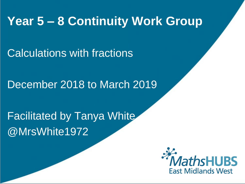# **Year 5 – 8 Continuity Work Group**

Calculations with fractions

December 2018 to March 2019

Facilitated by Tanya White @MrsWhite1972

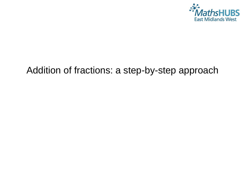

# Addition of fractions: a step-by-step approach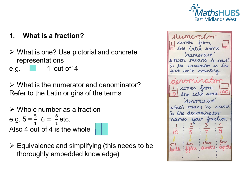

#### What is a fraction? 1.

- $\triangleright$  What is one? Use pictorial and concrete representations
- 1 'out of'  $4$ e.g.
- $\triangleright$  What is the numerator and denominator? Refer to the Latin origins of the terms
- $\triangleright$  Whole number as a fraction e.g.  $5 = \frac{5}{1}$  6 =  $\frac{6}{1}$  etc. Also 4 out of 4 is the whole
	-
- $\triangleright$  Equivalence and simplifying (this needs to be thoroughly embedded knowledge)

numerator Latin word numerar which means to court So the numerator is the part we're counting romino comes from the Latin won denominare which nears to name. So the derominator your fraction names one tenth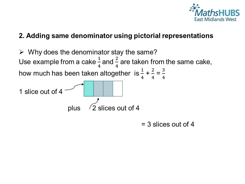

#### 2. Adding same denominator using pictorial representations



 $=$  3 slices out of 4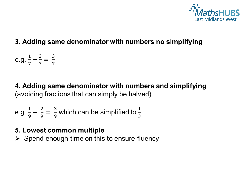

## 3. Adding same denominator with numbers no simplifying

e.g.  $\frac{1}{7} + \frac{2}{7} = \frac{3}{7}$ 

4. Adding same denominator with numbers and simplifying (avoiding fractions that can simply be halved)

e.g. 
$$
\frac{1}{9} + \frac{2}{9} = \frac{3}{9}
$$
 which can be simplified to  $\frac{1}{3}$ 

5. Lowest common multiple

 $\triangleright$  Spend enough time on this to ensure fluency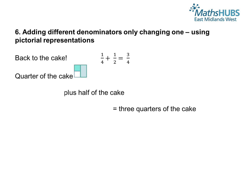

## 6. Adding different denominators only changing one - using pictorial representations



plus half of the cake

 $=$  three quarters of the cake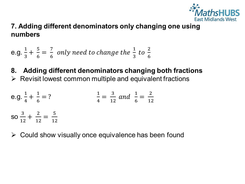

## 7. Adding different denominators only changing one using numbers

e.g. 
$$
\frac{1}{3} + \frac{5}{6} = \frac{7}{6}
$$
 only need to change the  $\frac{1}{3}$  to  $\frac{2}{6}$ 

#### Adding different denominators changing both fractions 8.

 $\triangleright$  Revisit lowest common multiple and equivalent fractions

e.g. 
$$
\frac{1}{4} + \frac{1}{6} = ?
$$
  $\frac{1}{4} = \frac{3}{12}$  and  $\frac{1}{6} = \frac{2}{12}$   
so  $\frac{3}{12} + \frac{2}{12} = \frac{5}{12}$ 

 $\triangleright$  Could show visually once equivalence has been found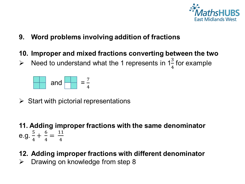

- 9. Word problems involving addition of fractions
- 10. Improper and mixed fractions converting between the two
- Need to understand what the 1 represents in  $1\frac{3}{4}$  for example  $\blacktriangleright$



- $\triangleright$  Start with pictorial representations
- 11. Adding improper fractions with the same denominator e.g.  $\frac{5}{4} + \frac{6}{4} = \frac{11}{4}$
- 12. Adding improper fractions with different denominator
- Drawing on knowledge from step 8 ➤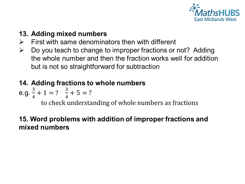

## 13. Adding mixed numbers

- First with same denominators then with different  $\triangleright$
- Do you teach to change to improper fractions or not? Adding  $\blacktriangleright$ the whole number and then the fraction works well for addition but is not so straightforward for subtraction

### 14. Adding fractions to whole numbers

e.g. 
$$
\frac{3}{4} + 1 = ?
$$
  $\frac{3}{4} + 5 = ?$ 

to check understanding of whole numbers as fractions

## 15. Word problems with addition of improper fractions and mixed numbers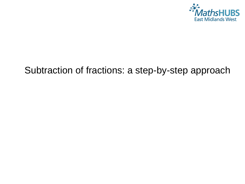

# Subtraction of fractions: a step-by-step approach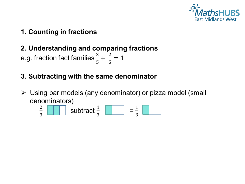

1. Counting in fractions

# 2. Understanding and comparing fractions

e.g. fraction fact families  $\frac{3}{5} + \frac{2}{5} = 1$ 

# 3. Subtracting with the same denominator

 $\triangleright$  Using bar models (any denominator) or pizza model (small denominators)

$$
\frac{2}{3} \quad \boxed{\qquad} \quad \text{subtract } \frac{1}{3} \quad \boxed{\qquad} \quad = \frac{1}{3} \quad \boxed{\qquad}
$$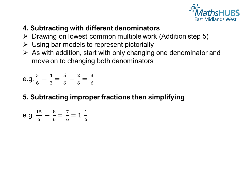

# 4. Subtracting with different denominators

- $\triangleright$  Drawing on lowest common multiple work (Addition step 5)
- $\triangleright$  Using bar models to represent pictorially
- $\triangleright$  As with addition, start with only changing one denominator and move on to changing both denominators

e.g.  $\frac{5}{6} - \frac{1}{3} = \frac{5}{6} - \frac{2}{6} = \frac{3}{6}$ 

# 5. Subtracting improper fractions then simplifying

e.g. 
$$
\frac{15}{6} - \frac{8}{6} = \frac{7}{6} = 1\frac{1}{6}
$$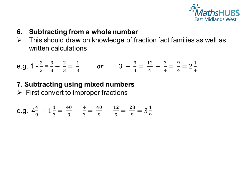

- 6. Subtracting from a whole number
- This should draw on knowledge of fraction fact families as well as  $\blacktriangleright$ written calculations

e.g. 
$$
1 - \frac{2}{3} = \frac{3}{3} - \frac{2}{3} = \frac{1}{3}
$$
 or  $3 - \frac{3}{4} = \frac{12}{4} - \frac{3}{4} = \frac{9}{4} = 2\frac{1}{4}$ 

7. Subtracting using mixed numbers  $\triangleright$  First convert to improper fractions

e.g. 
$$
4\frac{4}{9} - 1\frac{1}{3} = \frac{40}{9} - \frac{4}{3} = \frac{40}{9} - \frac{12}{9} = \frac{28}{9} = 3\frac{1}{9}
$$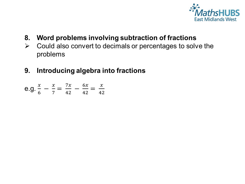

- Word problems involving subtraction of fractions 8.
- Could also convert to decimals or percentages to solve the  $\blacktriangleright$ problems
- Introducing algebra into fractions 9.

e.g. 
$$
\frac{x}{6} - \frac{x}{7} = \frac{7x}{42} - \frac{6x}{42} = \frac{x}{42}
$$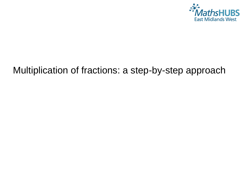

# Multiplication of fractions: a step-by-step approach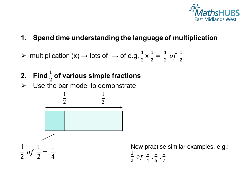

- Spend time understanding the language of multiplication  $\mathbf{1}$ .
- > multiplication (x)  $\rightarrow$  lots of  $\rightarrow$  of e.g.  $\frac{1}{2} \times \frac{1}{2} = \frac{1}{2}$  of  $\frac{1}{2}$
- 2. Find  $\frac{1}{2}$  of various simple fractions
- Use the bar model to demonstrate  $\blacktriangleright$



Now practise similar examples, e.g.:  $\frac{1}{2}$  of  $\frac{1}{4}$ ,  $\frac{1}{5}$ ,  $\frac{1}{7}$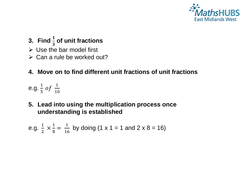

- **3.** Find  $\frac{1}{2}$ 3 **of unit fractions**
- $\triangleright$  Use the bar model first
- $\triangleright$  Can a rule be worked out?

#### **4. Move on to find different unit fractions of unit fractions**

e.g.  $\frac{1}{5}$  $\frac{1}{5}$  of  $\frac{1}{10}$ 

**5. Lead into using the multiplication process once understanding is established**

e.g. 
$$
\frac{1}{2} \times \frac{1}{8} = \frac{1}{16}
$$
 by doing (1 x 1 = 1 and 2 x 8 = 16)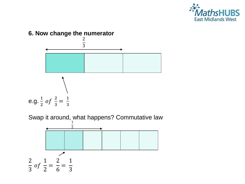



Swap it around, what happens? Commutative law

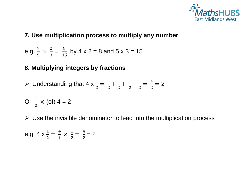

#### **7. Use multiplication process to multiply any number**

e.g. 
$$
\frac{4}{5} \times \frac{2}{3} = \frac{8}{15}
$$
 by 4 x 2 = 8 and 5 x 3 = 15

#### **8. Multiplying integers by fractions**

$$
\triangleright \text{ Understanding that } 4 \times \frac{1}{2} = \frac{1}{2} + \frac{1}{2} + \frac{1}{2} + \frac{1}{2} = \frac{4}{2} = 2
$$

Or 
$$
\frac{1}{2}
$$
 × (of) 4 = 2

 $\triangleright$  Use the invisible denominator to lead into the multiplication process

e.g. 
$$
4 \times \frac{1}{2} = \frac{4}{1} \times \frac{1}{2} = \frac{4}{2} = 2
$$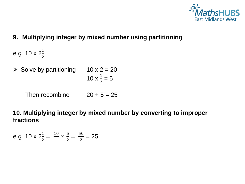

**9. Multiplying integer by mixed number using partitioning**

2

e.g. 
$$
10 \times 2\frac{1}{2}
$$

- Solve by partitioning  $10 \times 2 = 20$ 10  $\times \frac{1}{2}$  $= 5$ 
	- Then recombine  $20 + 5 = 25$

**10. Multiplying integer by mixed number by converting to improper fractions**

e.g. 
$$
10 \times 2\frac{1}{2} = \frac{10}{1} \times \frac{5}{2} = \frac{50}{2} = 25
$$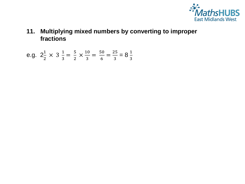

**11. Multiplying mixed numbers by converting to improper fractions**

e.g. 
$$
2\frac{1}{2} \times 3\frac{1}{3} = \frac{5}{2} \times \frac{10}{3} = \frac{50}{6} = \frac{25}{3} = 8\frac{1}{3}
$$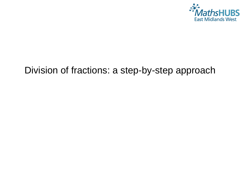

# Division of fractions: a step-by-step approach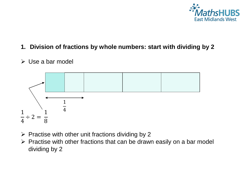

#### **1. Division of fractions by whole numbers: start with dividing by 2**

#### $\triangleright$  Use a bar model



- $\triangleright$  Practise with other unit fractions dividing by 2
- $\triangleright$  Practise with other fractions that can be drawn easily on a bar model dividing by 2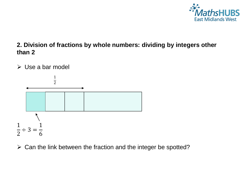

#### **2. Division of fractions by whole numbers: dividing by integers other than 2**





 $\triangleright$  Can the link between the fraction and the integer be spotted?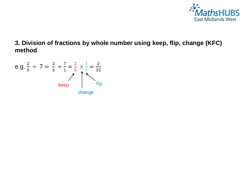

#### **3. Division of fractions by whole number using keep, flip, change (KFC) method**

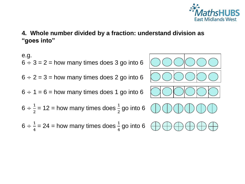

**4. Whole number divided by a fraction: understand division as "goes into"**

e.g.  
\n
$$
6 \div 3 = 2
$$
 = how many times does 3 go into 6  
\n $6 \div 2 = 3$  = how many times does 2 go into 6  
\n $6 \div 1 = 6$  = how many times does 1 go into 6  
\n $6 \div \frac{1}{2} = 12$  = how many times does  $\frac{1}{2}$  go into 6  
\n $6 \div \frac{1}{4} = 24$  = how many times does  $\frac{1}{4}$  go into 6  
\n $\bigoplus \bigoplus \bigoplus \bigoplus \bigoplus \bigoplus \bigoplus$